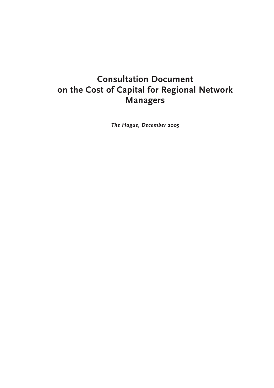# **Consultation Document on the Cost of Capital for Regional Network Managers**

*The Hague, December 2005*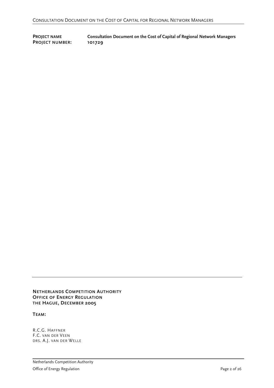**PROJECT NUMBER: 101729** 

**PROJECT NAME Consultation Document on the Cost of Capital of Regional Network Managers** 

**NETHERLANDS COMPETITION AUTHORITY OFFICE OF ENERGY REGULATION THE HAGUE, DECEMBER 2005**

**TEAM:** 

R.C.G. HAFFNER F.C. VAN DER VEEN DRS. A.J. VAN DER WELLE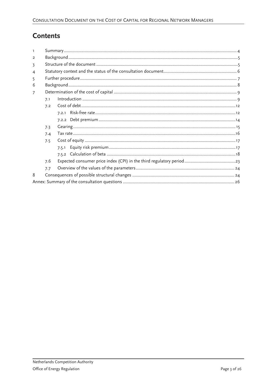## **Contents**

| $\overline{2}$ |     |       |  |  |  |  |
|----------------|-----|-------|--|--|--|--|
| 3              |     |       |  |  |  |  |
| $\overline{4}$ |     |       |  |  |  |  |
| 5              |     |       |  |  |  |  |
| 6              |     |       |  |  |  |  |
| $\overline{7}$ |     |       |  |  |  |  |
|                | 7.1 |       |  |  |  |  |
|                | 7.2 |       |  |  |  |  |
|                |     | 7.2.1 |  |  |  |  |
|                |     |       |  |  |  |  |
|                | 7.3 |       |  |  |  |  |
|                | 7.4 |       |  |  |  |  |
|                | 7.5 |       |  |  |  |  |
|                |     | 7.5.1 |  |  |  |  |
|                |     |       |  |  |  |  |
|                | 7.6 |       |  |  |  |  |
|                | 7.7 |       |  |  |  |  |
| 8              |     |       |  |  |  |  |
|                |     |       |  |  |  |  |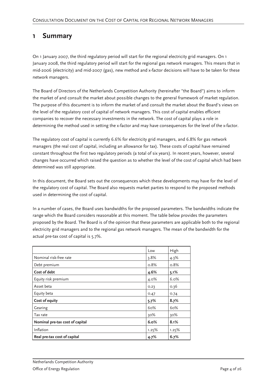## **1 Summary**

On 1 January 2007, the third regulatory period will start for the regional electricity grid managers. On 1 January 2008, the third regulatory period will start for the regional gas network managers. This means that in mid-2006 (electricity) and mid-2007 (gas), new method and x-factor decisions will have to be taken for these network managers.

The Board of Directors of the Netherlands Competition Authority (hereinafter "the Board") aims to inform the market of and consult the market about possible changes to the general framework of market regulation. The purpose of this document is to inform the market of and consult the market about the Board's views on the level of the regulatory cost of capital of network managers. This cost of capital enables efficient companies to recover the necessary investments in the network. The cost of capital plays a role in determining the method used in setting the x-factor and may have consequences for the level of the x-factor.

The regulatory cost of capital is currently 6.6% for electricity grid managers, and 6.8% for gas network managers (the real cost of capital, including an allowance for tax). These costs of capital have remained constant throughout the first two regulatory periods (a total of six years). In recent years, however, several changes have occurred which raised the question as to whether the level of the cost of capital which had been determined was still appropriate.

In this document, the Board sets out the consequences which these developments may have for the level of the regulatory cost of capital. The Board also requests market parties to respond to the proposed methods used in determining the cost of capital.

In a number of cases, the Board uses bandwidths for the proposed parameters. The bandwidths indicate the range which the Board considers reasonable at this moment. The table below provides the parameters proposed by the Board. The Board is of the opinion that these parameters are applicable both to the regional electricity grid managers and to the regional gas network managers. The mean of the bandwidth for the actual pre-tax cost of capital is 5.7%.

|                                 | Low     | High    |
|---------------------------------|---------|---------|
| Nominal risk-free rate          | 3.8%    | $4.3\%$ |
| Debt premium                    | $0.8\%$ | 0.8%    |
| Cost of debt                    | 4.6%    | 5.1%    |
| Equity risk premium             | 4.0%    | 6.0%    |
| Asset beta                      | 0.23    | 0.36    |
| Equity beta                     | 0.47    | 0.74    |
| Cost of equity                  | 5.7%    | 8.7%    |
| Gearing                         | 60%     | 60%     |
| Tax rate                        | 30%     | 30%     |
| Nominal pre-tax cost of capital | 6.0%    | 8.1%    |
| Inflation                       | 1.25%   | 1.25%   |
| Real pre-tax cost of capital    | 4.7%    | 6.7%    |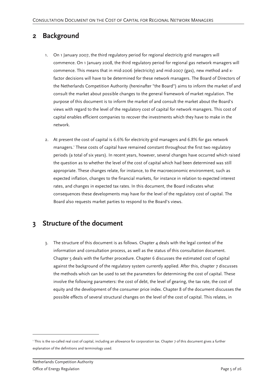## **2 Background**

- 1. On 1 January 2007, the third regulatory period for regional electricity grid managers will commence. On 1 January 2008, the third regulatory period for regional gas network managers will commence. This means that in mid-2006 (electricity) and mid-2007 (gas), new method and xfactor decisions will have to be determined for these network managers. The Board of Directors of the Netherlands Competition Authority (hereinafter "the Board") aims to inform the market of and consult the market about possible changes to the general framework of market regulation. The purpose of this document is to inform the market of and consult the market about the Board's views with regard to the level of the regulatory cost of capital for network managers. This cost of capital enables efficient companies to recover the investments which they have to make in the network.
- 2. At present the cost of capital is 6.6% for electricity grid managers and 6.8% for gas network managers.<sup>1</sup> These costs of capital have remained constant throughout the first two regulatory periods (a total of six years). In recent years, however, several changes have occurred which raised the question as to whether the level of the cost of capital which had been determined was still appropriate. These changes relate, for instance, to the macroeconomic environment, such as expected inflation, changes to the financial markets, for instance in relation to expected interest rates, and changes in expected tax rates. In this document, the Board indicates what consequences these developments may have for the level of the regulatory cost of capital. The Board also requests market parties to respond to the Board's views.

## **3 Structure of the document**

3. The structure of this document is as follows. Chapter  $4$  deals with the legal context of the information and consultation process, as well as the status of this consultation document. Chapter 5 deals with the further procedure. Chapter 6 discusses the estimated cost of capital against the background of the regulatory system currently applied. After this, chapter 7 discusses the methods which can be used to set the parameters for determining the cost of capital. These involve the following parameters: the cost of debt, the level of gearing, the tax rate, the cost of equity and the development of the consumer price index. Chapter 8 of the document discusses the possible effects of several structural changes on the level of the cost of capital. This relates, in

<sup>1</sup> This is the so-called real cost of capital, including an allowance for corporation tax. Chapter 7 of this document gives a further explanation of the definitions and terminology used.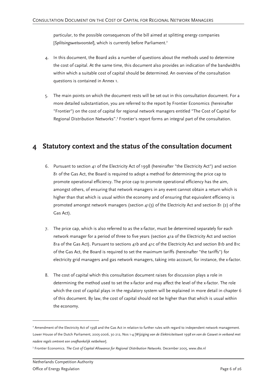particular, to the possible consequences of the bill aimed at splitting energy companies [Splitsingswetsvoorstel], which is currently before Parliament.<sup>2</sup>

- 4. In this document, the Board asks a number of questions about the methods used to determine the cost of capital. At the same time, this document also provides an indication of the bandwidths within which a suitable cost of capital should be determined. An overview of the consultation questions is contained in Annex 1.
- 5. The main points on which the document rests will be set out in this consultation document. For a more detailed substantiation, you are referred to the report by Frontier Economics (hereinafter "Frontier") on the cost of capital for regional network managers entitled "The Cost of Capital for Regional Distribution Networks".<sup>3</sup> Frontier's report forms an integral part of the consultation.

## **4 Statutory context and the status of the consultation document**

- 6. Pursuant to section 41 of the Electricity Act of 1998 (hereinafter "the Electricity Act") and section 81 of the Gas Act, the Board is required to adopt a method for determining the price cap to promote operational efficiency. The price cap to promote operational efficiency has the aim, amongst others, of ensuring that network managers in any event cannot obtain a return which is higher than that which is usual within the economy and of ensuring that equivalent efficiency is promoted amongst network managers (section 41(3) of the Electricity Act and section 81 (2) of the Gas Act).
- 7. The price cap, which is also referred to as the x-factor, must be determined separately for each network manager for a period of three to five years (section 41a of the Electricity Act and section 81a of the Gas Act). Pursuant to sections 41b and 41c of the Electricity Act and section 81b and 81c of the Gas Act, the Board is required to set the maximum tariffs (hereinafter "the tariffs") for electricity grid managers and gas network managers, taking into account, for instance, the x-factor.
- 8. The cost of capital which this consultation document raises for discussion plays a role in determining the method used to set the x-factor and may affect the level of the x-factor. The role which the cost of capital plays in the regulatory system will be explained in more detail in chapter 6 of this document. By law, the cost of capital should not be higher than that which is usual within the economy.

<sup>2</sup> Amendment of the Electricity Act of 1998 and the Gas Act in relation to further rules with regard to independent network management. Lower House of the Dutch Parliament, 2005-2006, 30 212, Nos 1-4 [*Wijziging van de Elektriciteitswet 1998 en van de Gaswet in verband met nadere regels omtrent een onafhankelijk netbeheer*].

<sup>3</sup> Frontier Economics. *The Cost of Capital Allowance for Regional Distribution Networks*. December 2005, www.dte.nl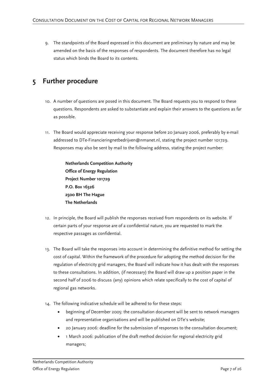9. The standpoints of the Board expressed in this document are preliminary by nature and may be amended on the basis of the responses of respondents. The document therefore has no legal status which binds the Board to its contents.

## **5 Further procedure**

- 10. A number of questions are posed in this document. The Board requests you to respond to these questions. Respondents are asked to substantiate and explain their answers to the questions as far as possible.
- 11. The Board would appreciate receiving your response before 20 January 2006, preferably by e-mail addressed to DTe-Financieringnetbedrijven@nmanet.nl, stating the project number 101729. Responses may also be sent by mail to the following address, stating the project number:

**Netherlands Competition Authority Office of Energy Regulation Project Number 101729 P.O. Box 16326 2500 BH The Hague The Netherlands** 

- 12. In principle, the Board will publish the responses received from respondents on its website. If certain parts of your response are of a confidential nature, you are requested to mark the respective passages as confidential.
- 13. The Board will take the responses into account in determining the definitive method for setting the cost of capital. Within the framework of the procedure for adopting the method decision for the regulation of electricity grid managers, the Board will indicate how it has dealt with the responses to these consultations. In addition, (if necessary) the Board will draw up a position paper in the second half of 2006 to discuss (any) opinions which relate specifically to the cost of capital of regional gas networks.
- 14. The following indicative schedule will be adhered to for these steps:
	- beginning of December 2005: the consultation document will be sent to network managers and representative organisations and will be published on DTe's website;
	- 20 January 2006: deadline for the submission of responses to the consultation document;
	- 1 March 2006: publication of the draft method decision for regional electricity grid managers;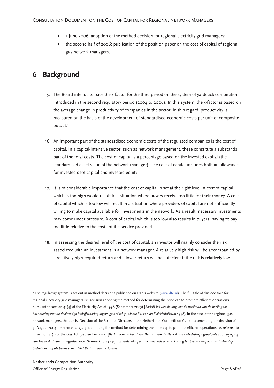- 1 June 2006: adoption of the method decision for regional electricity grid managers;
- the second half of 2006: publication of the position paper on the cost of capital of regional gas network managers.

## **6 Background**

- 15. The Board intends to base the x-factor for the third period on the system of yardstick competition introduced in the second regulatory period (2004 to 2006). In this system, the x-factor is based on the average change in productivity of companies in the sector. In this regard, productivity is measured on the basis of the development of standardised economic costs per unit of composite output.<sup>4</sup>
- 16. An important part of the standardised economic costs of the regulated companies is the cost of capital. In a capital-intensive sector, such as network management, these constitute a substantial part of the total costs. The cost of capital is a percentage based on the invested capital (the standardised asset value of the network manager). The cost of capital includes both an allowance for invested debt capital and invested equity.
- 17. It is of considerable importance that the cost of capital is set at the right level. A cost of capital which is too high would result in a situation where buyers receive too little for their money. A cost of capital which is too low will result in a situation where providers of capital are not sufficiently willing to make capital available for investments in the network. As a result, necessary investments may come under pressure. A cost of capital which is too low also results in buyers' having to pay too little relative to the costs of the service provided.
- 18. In assessing the desired level of the cost of capital, an investor will mainly consider the risk associated with an investment in a network manager. A relatively high risk will be accompanied by a relatively high required return and a lower return will be sufficient if the risk is relatively low.

<sup>4</sup> The regulatory system is set out in method decisions published on DTe's website (www.dte.nl). The full title of this decision for regional electricity grid managers is: Decision adopting the method for determining the price cap to promote efficient operations, pursuant to section 41(4) of the Electricity Act of 1998 (September 2003) [*Besluit tot vaststelling van de methode van de korting ter bevordering van de doelmatige bedrijfsvoering ingevolge artikel 41, vierde lid, van de Elektriciteitswet 1998*]. In the case of the regional gas network managers, the title is: Decision of the Board of Directors of the Netherlands Competition Authority amending the decision of 31 August 2004 (reference 101732-31), adopting the method for determining the price cap to promote efficient operations, as referred to in section 81(1) of the Gas Act (September 2005) [*Besluit van de Raad van Bestuur van de Nederlandse Mededingingsautoriteit tot wijziging van het besluit van 31 augustus 2004 (kenmerk 101732-31), tot vaststelling van de methode van de korting ter bevordering van de doelmatige bedrijfsvoering als bedoeld in artikel 81, lid 1, van de Gaswet*].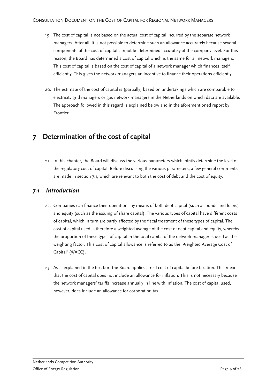- 19. The cost of capital is not based on the actual cost of capital incurred by the separate network managers. After all, it is not possible to determine such an allowance accurately because several components of the cost of capital cannot be determined accurately at the company level. For this reason, the Board has determined a cost of capital which is the same for all network managers. This cost of capital is based on the cost of capital of a network manager which finances itself efficiently. This gives the network managers an incentive to finance their operations efficiently.
- 20. The estimate of the cost of capital is (partially) based on undertakings which are comparable to electricity grid managers or gas network managers in the Netherlands on which data are available. The approach followed in this regard is explained below and in the aforementioned report by Frontier.

## **7 Determination of the cost of capital**

21. In this chapter, the Board will discuss the various parameters which jointly determine the level of the regulatory cost of capital. Before discussing the various parameters, a few general comments are made in section 7.1, which are relevant to both the cost of debt and the cost of equity.

### *7.1 Introduction*

- 22. Companies can finance their operations by means of both debt capital (such as bonds and loans) and equity (such as the issuing of share capital). The various types of capital have different costs of capital, which in turn are partly affected by the fiscal treatment of these types of capital. The cost of capital used is therefore a weighted average of the cost of debt capital and equity, whereby the proportion of these types of capital in the total capital of the network manager is used as the weighting factor. This cost of capital allowance is referred to as the 'Weighted Average Cost of Capital' (WACC).
- 23. As is explained in the text box, the Board applies a real cost of capital before taxation. This means that the cost of capital does not include an allowance for inflation. This is not necessary because the network managers' tariffs increase annually in line with inflation. The cost of capital used, however, does include an allowance for corporation tax.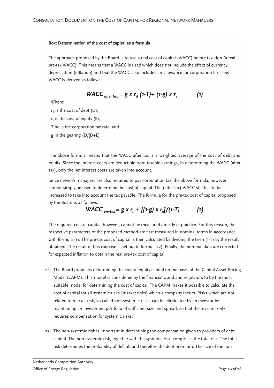#### **Box: Determination of the cost of capital as a formula**

The approach proposed by the Board is to use a real cost of capital (WACC) before taxation (a real pre-tax WACC). This means that a WACC is used which does not include the effect of currency depreciation (inflation) and that the WACC also includes an allowance for corporation tax. This WACC is derived as follows:

WACC<sub>after tax</sub> = 
$$
g x r_d (1-T) + (1-g) x r_e
$$
 (1)

Where:

 $r_d$  is the cost of debt (D);

 $r_{\rm e}$  is the cost of equity (E);

T he is the corporation tax rate; and

g in the gearing (D/[D+E].

The above formula means that the WACC after tax is a weighted average of the cost of debt and equity. Since the interest costs are deductible from taxable earnings, in determining the WACC (after tax), only the net interest costs are taken into account.

Since network managers are also required to pay corporation tax, the above formula, however, cannot simply be used to determine the cost of capital. The (after-tax) WACC still has to be increased to take into account the tax payable. The formula for the pre-tax cost of capital proposed by the Board is as follows:

WACC<sub>pre-tax</sub> = 
$$
g \times r_d + [(1-g) \times r_d]/(1-T)
$$
 (2)

The required cost of capital, however, cannot be measured directly in practice. For this reason, the respective parameters of the proposed method are first measured in nominal terms in accordance with formula (1). The pre-tax cost of capital is then calculated by dividing the term (1-T) by the result obtained. The result of this exercise is set out in formula (2). Finally, the nominal data are corrected for expected inflation to obtain the real pre-tax cost of capital.

- 24. The Board proposes determining the cost of equity capital on the basis of the Capital Asset Pricing Model (CAPM). This model is considered by the financial world and regulators to be the most suitable model for determining the cost of capital. The CAPM makes it possible to calculate the cost of capital for all systemic risks (market risks) which a company incurs. Risks which are not related to market risk, so-called non-systemic risks, can be eliminated by an investor by maintaining an investment portfolio of sufficient size and spread, so that the investor only requires compensation for systemic risks.
- 25. The non-systemic risk is important in determining the compensation given to providers of debt capital. The non-systemic risk, together with the systemic risk, comprises the total risk. The total risk determines the probability of default and therefore the debt premium. The size of the non-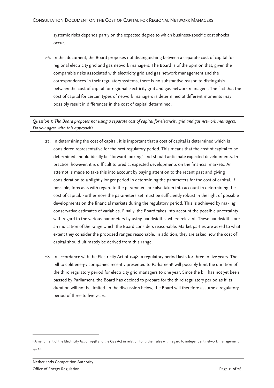systemic risks depends partly on the expected degree to which business-specific cost shocks occur.

26. In this document, the Board proposes not distinguishing between a separate cost of capital for regional electricity grid and gas network managers. The Board is of the opinion that, given the comparable risks associated with electricity grid and gas network management and the correspondences in their regulatory systems, there is no substantive reason to distinguish between the cost of capital for regional electricity grid and gas network managers. The fact that the cost of capital for certain types of network managers is determined at different moments may possibly result in differences in the cost of capital determined.

*Question 1: The Board proposes not using a separate cost of capital for electricity grid and gas network managers. Do you agree with this approach?* 

- 27. In determining the cost of capital, it is important that a cost of capital is determined which is considered representative for the next regulatory period. This means that the cost of capital to be determined should ideally be "forward-looking" and should anticipate expected developments. In practice, however, it is difficult to predict expected developments on the financial markets. An attempt is made to take this into account by paying attention to the recent past and giving consideration to a slightly longer period in determining the parameters for the cost of capital. If possible, forecasts with regard to the parameters are also taken into account in determining the cost of capital. Furthermore the parameters set must be sufficiently robust in the light of possible developments on the financial markets during the regulatory period. This is achieved by making conservative estimates of variables. Finally, the Board takes into account the possible uncertainty with regard to the various parameters by using bandwidths, where relevant. These bandwidths are an indication of the range which the Board considers reasonable. Market parties are asked to what extent they consider the proposed ranges reasonable. In addition, they are asked how the cost of capital should ultimately be derived from this range.
- 28. In accordance with the Electricity Act of 1998, a regulatory period lasts for three to five years. The bill to split energy companies recently presented to Parliament<sup>5</sup> will possibly limit the duration of the third regulatory period for electricity grid managers to one year. Since the bill has not yet been passed by Parliament, the Board has decided to prepare for the third regulatory period as if its duration will not be limited. In the discussion below, the Board will therefore assume a regulatory period of three to five years.

<sup>5</sup> Amendment of the Electricity Act of 1998 and the Gas Act in relation to further rules with regard to independent network management, *op. cit.*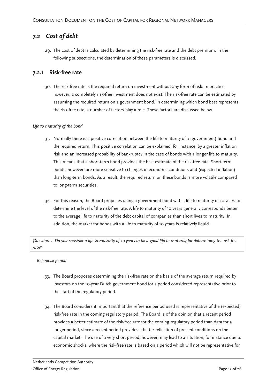### *7.2 Cost of debt*

29. The cost of debt is calculated by determining the risk-free rate and the debt premium. In the following subsections, the determination of these parameters is discussed.

### **7.2.1 Risk-free rate**

30. The risk-free rate is the required return on investment without any form of risk. In practice, however, a completely risk-free investment does not exist. The risk-free rate can be estimated by assuming the required return on a government bond. In determining which bond best represents the risk-free rate, a number of factors play a role. These factors are discussed below.

### *Life to maturity of the bond*

- 31. Normally there is a positive correlation between the life to maturity of a (government) bond and the required return. This positive correlation can be explained, for instance, by a greater inflation risk and an increased probability of bankruptcy in the case of bonds with a longer life to maturity. This means that a short-term bond provides the best estimate of the risk-free rate. Short-term bonds, however, are more sensitive to changes in economic conditions and (expected inflation) than long-term bonds. As a result, the required return on these bonds is more volatile compared to long-term securities.
- 32. For this reason, the Board proposes using a government bond with a life to maturity of 10 years to determine the level of the risk-free rate. A life to maturity of 10 years generally corresponds better to the average life to maturity of the debt capital of companies than short lives to maturity. In addition, the market for bonds with a life to maturity of 10 years is relatively liquid.

*Question 2: Do you consider a life to maturity of 10 years to be a good life to maturity for determining the risk-free rate?*

### *Reference period*

- 33. The Board proposes determining the risk-free rate on the basis of the average return required by investors on the 10-year Dutch government bond for a period considered representative prior to the start of the regulatory period.
- 34. The Board considers it important that the reference period used is representative of the (expected) risk-free rate in the coming regulatory period. The Board is of the opinion that a recent period provides a better estimate of the risk-free rate for the coming regulatory period than data for a longer period, since a recent period provides a better reflection of present conditions on the capital market. The use of a very short period, however, may lead to a situation, for instance due to economic shocks, where the risk-free rate is based on a period which will not be representative for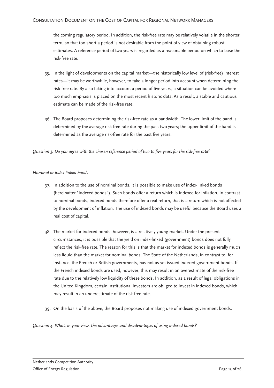the coming regulatory period. In addition, the risk-free rate may be relatively volatile in the shorter term, so that too short a period is not desirable from the point of view of obtaining robust estimates. A reference period of two years is regarded as a reasonable period on which to base the risk-free rate.

- 35. In the light of developments on the capital market—the historically low level of (risk-free) interest rates—it may be worthwhile, however, to take a longer period into account when determining the risk-free rate. By also taking into account a period of five years, a situation can be avoided where too much emphasis is placed on the most recent historic data. As a result, a stable and cautious estimate can be made of the risk-free rate.
- 36. The Board proposes determining the risk-free rate as a bandwidth. The lower limit of the band is determined by the average risk-free rate during the past two years; the upper limit of the band is determined as the average risk-free rate for the past five years.

*Question 3: Do you agree with the chosen reference period of two to five years for the risk-free rate?* 

### *Nominal or index-linked bonds*

- 37. In addition to the use of nominal bonds, it is possible to make use of index-linked bonds (hereinafter "indexed bonds"). Such bonds offer a return which is indexed for inflation. In contrast to nominal bonds, indexed bonds therefore offer a real return, that is a return which is not affected by the development of inflation. The use of indexed bonds may be useful because the Board uses a real cost of capital.
- 38. The market for indexed bonds, however, is a relatively young market. Under the present circumstances, it is possible that the yield on index-linked (government) bonds does not fully reflect the risk-free rate. The reason for this is that the market for indexed bonds is generally much less liquid than the market for nominal bonds. The State of the Netherlands, in contrast to, for instance, the French or British governments, has not as yet issued indexed government bonds. If the French indexed bonds are used, however, this may result in an overestimate of the risk-free rate due to the relatively low liquidity of these bonds. In addition, as a result of legal obligations in the United Kingdom, certain institutional investors are obliged to invest in indexed bonds, which may result in an underestimate of the risk-free rate.
- 39. On the basis of the above, the Board proposes not making use of indexed government bonds.

*Question 4: What, in your view, the advantages and disadvantages of using indexed bonds?*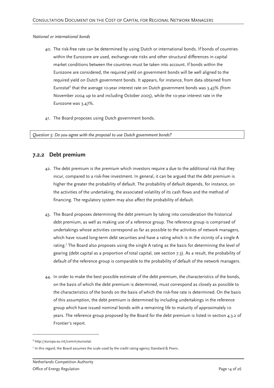*National or international bonds* 

- 40. The risk-free rate can be determined by using Dutch or international bonds. If bonds of countries within the Eurozone are used, exchange-rate risks and other structural differences in capital market conditions between the countries must be taken into account. If bonds within the Eurozone are considered, the required yield on government bonds will be well aligned to the required yield on Dutch government bonds. It appears, for instance, from data obtained from Eurostat<sup>6</sup> that the average 10-year interest rate on Dutch government bonds was 3.43% (from November 2004 up to and including October 2005), while the 10-year interest rate in the Eurozone was 3.47%.
- 41. The Board proposes using Dutch government bonds.

*Question 5: Do you agree with the proposal to use Dutch government bonds?* 

### **7.2.2 Debt premium**

- 42. The debt premium is the premium which investors require a due to the additional risk that they incur, compared to a risk-free investment. In general, it can be argued that the debt premium is higher the greater the probability of default. The probability of default depends, for instance, on the activities of the undertaking, the associated volatility of its cash flows and the method of financing. The regulatory system may also affect the probability of default.
- 43. The Board proposes determining the debt premium by taking into consideration the historical debt premium, as well as making use of a reference group. The reference group is comprised of undertakings whose activities correspond as far as possible to the activities of network managers, which have issued long-term debt securities and have a rating which is in the vicinity of a single A rating.<sup>7</sup> The Board also proposes using the single A rating as the basis for determining the level of gearing (debt capital as a proportion of total capital, see section 7.3). As a result, the probability of default of the reference group is comparable to the probability of default of the network managers.
- 44. In order to make the best possible estimate of the debt premium, the characteristics of the bonds, on the basis of which the debt premium is determined, must correspond as closely as possible to the characteristics of the bonds on the basis of which the risk-free rate is determined. On the basis of this assumption, the debt premium is determined by including undertakings in the reference group which have issued nominal bonds with a remaining life to maturity of approximately 10 years. The reference group proposed by the Board for the debt premium is listed in section 4.3.2 of Frontier's report.

<sup>6</sup> http://europa.eu.int/comm/eurostat.

<sup>7</sup> In this regard, the Board assumes the scale used by the credit rating agency Standard & Poors.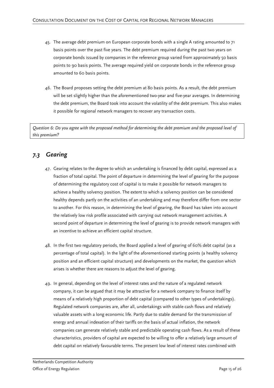- 45. The average debt premium on European corporate bonds with a single A rating amounted to 71 basis points over the past five years. The debt premium required during the past two years on corporate bonds issued by companies in the reference group varied from approximately 50 basis points to 90 basis points. The average required yield on corporate bonds in the reference group amounted to 60 basis points.
- 46. The Board proposes setting the debt premium at 80 basis points. As a result, the debt premium will be set slightly higher than the aforementioned two-year and five-year averages. In determining the debt premium, the Board took into account the volatility of the debt premium. This also makes it possible for regional network managers to recover any transaction costs.

*Question 6: Do you agree with the proposed method for determining the debt premium and the proposed level of this premium?* 

## *7.3 Gearing*

- 47. Gearing relates to the degree to which an undertaking is financed by debt capital, expressed as a fraction of total capital. The point of departure in determining the level of gearing for the purpose of determining the regulatory cost of capital is to make it possible for network managers to achieve a healthy solvency position. The extent to which a solvency position can be considered healthy depends partly on the activities of an undertaking and may therefore differ from one sector to another. For this reason, in determining the level of gearing, the Board has taken into account the relatively low risk profile associated with carrying out network management activities. A second point of departure in determining the level of gearing is to provide network managers with an incentive to achieve an efficient capital structure.
- 48. In the first two regulatory periods, the Board applied a level of gearing of 60% debt capital (as a percentage of total capital). In the light of the aforementioned starting points (a healthy solvency position and an efficient capital structure) and developments on the market, the question which arises is whether there are reasons to adjust the level of gearing.
- 49. In general, depending on the level of interest rates and the nature of a regulated network company, it can be argued that it may be attractive for a network company to finance itself by means of a relatively high proportion of debt capital (compared to other types of undertakings). Regulated network companies are, after all, undertakings with stable cash flows and relatively valuable assets with a long economic life. Partly due to stable demand for the transmission of energy and annual indexation of their tariffs on the basis of actual inflation, the network companies can generate relatively stable and predictable operating cash flows. As a result of these characteristics, providers of capital are expected to be willing to offer a relatively large amount of debt capital on relatively favourable terms. The present low level of interest rates combined with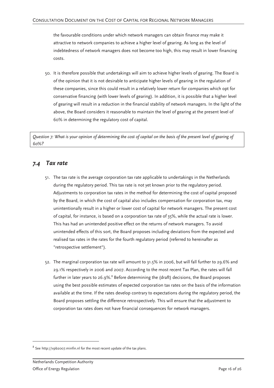the favourable conditions under which network managers can obtain finance may make it attractive to network companies to achieve a higher level of gearing. As long as the level of indebtedness of network managers does not become too high, this may result in lower financing costs.

50. It is therefore possible that undertakings will aim to achieve higher levels of gearing. The Board is of the opinion that it is not desirable to anticipate higher levels of gearing in the regulation of these companies, since this could result in a relatively lower return for companies which opt for conservative financing (with lower levels of gearing). In addition, it is possible that a higher level of gearing will result in a reduction in the financial stability of network managers. In the light of the above, the Board considers it reasonable to maintain the level of gearing at the present level of 60% in determining the regulatory cost of capital.

*Question 7: What is your opinion of determining the cost of capital on the basis of the present level of gearing of 60%?* 

### *7.4 Tax rate*

- 51. The tax rate is the average corporation tax rate applicable to undertakings in the Netherlands during the regulatory period. This tax rate is not yet known prior to the regulatory period. Adjustments to corporation tax rates in the method for determining the cost of capital proposed by the Board, in which the cost of capital also includes compensation for corporation tax, may unintentionally result in a higher or lower cost of capital for network managers. The present cost of capital, for instance, is based on a corporation tax rate of 35%, while the actual rate is lower. This has had an unintended positive effect on the returns of network managers. To avoid unintended effects of this sort, the Board proposes including deviations from the expected and realised tax rates in the rates for the fourth regulatory period (referred to hereinafter as "retrospective settlement").
- 52. The marginal corporation tax rate will amount to 31.5% in 2006, but will fall further to 29.6% and 29.1% respectively in 2006 and 2007. According to the most recent Tax Plan, the rates will fall further in later years to 26.9%. $^8$  Before determining the (draft) decisions, the Board proposes using the best possible estimates of expected corporation tax rates on the basis of the information available at the time. If the rates develop contrary to expectations during the regulatory period, the Board proposes settling the difference retrospectively. This will ensure that the adjustment to corporation tax rates does not have financial consequences for network managers.

 $^8$  See http://vpb2007.minfin.nl for the most recent update of the tax plans.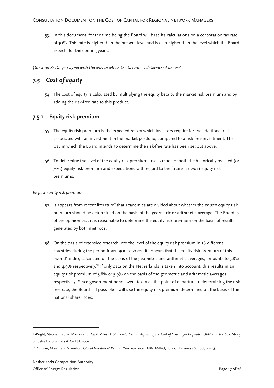53. In this document, for the time being the Board will base its calculations on a corporation tax rate of 30%. This rate is higher than the present level and is also higher than the level which the Board expects for the coming years.

*Question 8: Do you agree with the way in which the tax rate is determined above?* 

## *7.5 Cost of equity*

54. The cost of equity is calculated by multiplying the equity beta by the market risk premium and by adding the risk-free rate to this product.

### **7.5.1 Equity risk premium**

- 55. The equity risk premium is the expected return which investors require for the additional risk associated with an investment in the market portfolio, compared to a risk-free investment. The way in which the Board intends to determine the risk-free rate has been set out above.
- 56. To determine the level of the equity risk premium, use is made of both the historically realised (*ex post*) equity risk premium and expectations with regard to the future (*ex ante*) equity risk premiums.

### *Ex post equity risk premium*

- 57. It appears from recent literature<sup>9</sup> that academics are divided about whether the *ex post* equity risk premium should be determined on the basis of the geometric or arithmetic average. The Board is of the opinion that it is reasonable to determine the equity risk premium on the basis of results generated by both methods.
- 58. On the basis of extensive research into the level of the equity risk premium in 16 different countries during the period from 1900 to 2002, it appears that the equity risk premium of this "world" index, calculated on the basis of the geometric and arithmetic averages, amounts to 3.8% and 4.9% respectively.<sup>10</sup> If only data on the Netherlands is taken into account, this results in an equity risk premium of 3.8% or 5.9% on the basis of the geometric and arithmetic averages respectively. Since government bonds were taken as the point of departure in determining the riskfree rate, the Board—if possible—will use the equity risk premium determined on the basis of the national share index.

<sup>9</sup> Wright, Stephen, Robin Mason and David Miles. *A Study into Certain Aspects of the Cost of Capital for Regulated Utilities in the U.K.* Study on behalf of Smithers & Co Ltd, 2003.

<sup>&</sup>lt;sup>10</sup> Dimson, Marsh and Staunton. *Global Investment Returns Yearbook 2002* (ABN AMRO/London Business School, 2003).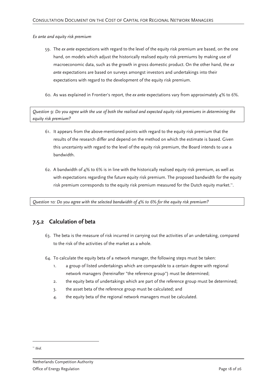*Ex ante and equity risk premium* 

- 59. The *ex ante* expectations with regard to the level of the equity risk premium are based, on the one hand, on models which adjust the historically realised equity risk premiums by making use of macroeconomic data, such as the growth in gross domestic product. On the other hand, the *ex ante* expectations are based on surveys amongst investors and undertakings into their expectations with regard to the development of the equity risk premium.
- 60. As was explained in Frontier's report, the *ex ante* expectations vary from approximately 4% to 6%.

*Question 9: Do you agree with the use of both the realised and expected equity risk premiums in determining the equity risk premium?* 

- 61. It appears from the above-mentioned points with regard to the equity risk premium that the results of the research differ and depend on the method on which the estimate is based. Given this uncertainty with regard to the level of the equity risk premium, the Board intends to use a bandwidth.
- 62. A bandwidth of  $4\%$  to 6% is in line with the historically realised equity risk premium, as well as with expectations regarding the future equity risk premium. The proposed bandwidth for the equity risk premium corresponds to the equity risk premium measured for the Dutch equity market.".

*Question 10: Do you agree with the selected bandwidth of 4% to 6% for the equity risk premium?* 

### **7.5.2 Calculation of beta**

- 63. The beta is the measure of risk incurred in carrying out the activities of an undertaking, compared to the risk of the activities of the market as a whole.
- 64. To calculate the equity beta of a network manager, the following steps must be taken:
	- 1. a group of listed undertakings which are comparable to a certain degree with regional network managers (hereinafter "the reference group") must be determined;
	- 2. the equity beta of undertakings which are part of the reference group must be determined;
	- 3. the asset beta of the reference group must be calculated; and
	- 4. the equity beta of the regional network managers must be calculated.

<sup>11</sup> *Ibid*.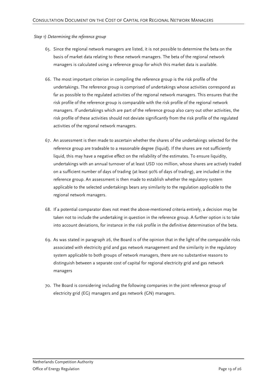### *Step 1) Determining the reference group*

- 65. Since the regional network managers are listed, it is not possible to determine the beta on the basis of market data relating to these network managers. The beta of the regional network managers is calculated using a reference group for which this market data is available.
- 66. The most important criterion in compiling the reference group is the risk profile of the undertakings. The reference group is comprised of undertakings whose activities correspond as far as possible to the regulated activities of the regional network managers. This ensures that the risk profile of the reference group is comparable with the risk profile of the regional network managers. If undertakings which are part of the reference group also carry out other activities, the risk profile of these activities should not deviate significantly from the risk profile of the regulated activities of the regional network managers.
- 67. An assessment is then made to ascertain whether the shares of the undertakings selected for the reference group are tradeable to a reasonable degree (liquid). If the shares are not sufficiently liquid, this may have a negative effect on the reliability of the estimates. To ensure liquidity, undertakings with an annual turnover of at least USD 100 million, whose shares are actively traded on a sufficient number of days of trading (at least 90% of days of trading), are included in the reference group. An assessment is then made to establish whether the regulatory system applicable to the selected undertakings bears any similarity to the regulation applicable to the regional network managers.
- 68. If a potential comparator does not meet the above-mentioned criteria entirely, a decision may be taken not to include the undertaking in question in the reference group. A further option is to take into account deviations, for instance in the risk profile in the definitive determination of the beta.
- 69. As was stated in paragraph 26, the Board is of the opinion that in the light of the comparable risks associated with electricity grid and gas network management and the similarity in the regulatory system applicable to both groups of network managers, there are no substantive reasons to distinguish between a separate cost of capital for regional electricity grid and gas network managers
- 70. The Board is considering including the following companies in the joint reference group of electricity grid (EG) managers and gas network (GN) managers.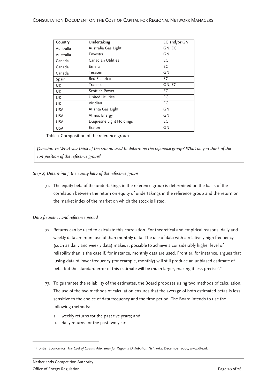| Country    | Undertaking             | EG and/or GN |
|------------|-------------------------|--------------|
| Australia  | Australia Gas Light     | GN, EG       |
| Australia  | Envestra                | GΝ           |
| Canada     | Canadian Utilities      | EG           |
| Canada     | Emera                   | EG           |
| Canada     | Terasen                 | GN           |
| Spain      | Red Electrica           | EG           |
| UK         | Transco                 | GN, EG       |
| UK         | Scottish Power          | EG           |
| UK         | <b>United Utilities</b> | EG           |
| UK         | Viridian                | EG           |
| <b>USA</b> | Atlanta Gas Light       | GΝ           |
| <b>USA</b> | Atmos Energy            | GN           |
| <b>USA</b> | Duquesne Light Holdings | EG           |
| <b>USA</b> | Exelon                  | GN           |

Table 1 Composition of the reference group

*Question 11: What you think of the criteria used to determine the reference group? What do you think of the composition of the reference group?* 

#### *Step 2) Determining the equity beta of the reference group*

71. The equity beta of the undertakings in the reference group is determined on the basis of the correlation between the return on equity of undertakings in the reference group and the return on the market index of the market on which the stock is listed.

### *Data frequency and reference period*

- 72. Returns can be used to calculate this correlation. For theoretical and empirical reasons, daily and weekly data are more useful than monthly data. The use of data with a relatively high frequency (such as daily and weekly data) makes it possible to achieve a considerably higher level of reliability than is the case if, for instance, monthly data are used. Frontier, for instance, argues that 'using data of lower frequency (for example, monthly) will still produce an unbiased estimate of beta, but the standard error of this estimate will be much larger, making it less precise'.<sup>12</sup>
- 73. To guarantee the reliability of the estimates, the Board proposes using two methods of calculation. The use of the two methods of calculation ensures that the average of both estimated betas is less sensitive to the choice of data frequency and the time period. The Board intends to use the following methods:
	- a. weekly returns for the past five years; and
	- b. daily returns for the past two years.

<sup>&</sup>lt;sup>12</sup> Frontier Economics. *The Cost of Capital Allowance for Regional Distribution Networks*. December 2005, www.dte.nl.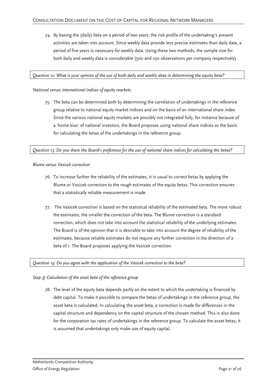74. By basing the (daily) beta on a period of two years, the risk profile of the undertaking's present activities are taken into account. Since weekly data provide less precise estimates than daily data, a period of five years is necessary for weekly data. Using these two methods, the sample size for both daily and weekly data is considerable (500 and 250 observations per company respectively).

#### *Question 12: What is your opinion of the use of both daily and weekly data in determining the equity beta?*

#### *National versus international indices of equity markets*

75. The beta can be determined both by determining the correlation of undertakings in the reference group relative to national equity market indices and on the basis of an international share index. Since the various national equity markets are possibly not integrated fully, for instance because of a 'home bias' of national investors, the Board proposes using national share indices as the basis for calculating the betas of the undertakings in the reference group.

### *Question 13: Do you share the Board's preference for the use of national share indices for calculating the betas?*

#### *Blume versus Vasicek correction*

- 76. To increase further the reliability of the estimates, it is usual to correct betas by applying the Blume or Vasicek correction to the rough estimates of the equity betas. This correction ensures that a statistically reliable measurement is made.
- 77. The Vasicek correction is based on the statistical reliability of the estimated beta. The more robust the estimates, the smaller the correction of the beta. The Blume correction is a standard correction, which does not take into account the statistical reliability of the underlying estimates. The Board is of the opinion that it is desirable to take into account the degree of reliability of the estimates, because reliable estimates do not require any further correction in the direction of a beta of 1. The Board proposes applying the Vasicek correction.

#### *Question 14: Do you agree with the application of the Vasicek correction to the beta?*

### *Step 3) Calculation of the asset beta of the reference group*

78. The level of the equity beta depends partly on the extent to which the undertaking is financed by debt capital. To make it possible to compare the betas of undertakings in the reference group, the asset beta is calculated. In calculating the asset beta, a correction is made for differences in the capital structure and dependency on the capital structure of the chosen method. This is also done for the corporation tax rates of undertakings in the reference group. To calculate the asset betas, it is assumed that undertakings only make use of equity capital.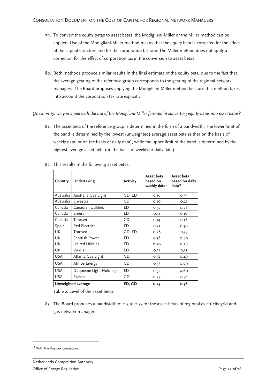- 79. To convert the equity betas to asset betas, the Modigliani-Miller or the Miller method can be applied. Use of the Modigliani-Miller method means that the equity beta is corrected for the effect of the capital structure and for the corporation tax rate. The Miller method does not apply a correction for the effect of corporation tax in the conversion to asset betas.
- 80. Both methods produce similar results in the final estimate of the equity beta, due to the fact that the average gearing of the reference group corresponds to the gearing of the regional network managers. The Board proposes applying the Modigliani-Miller method because this method takes into account the corporation tax rate explicitly.

*Question 15: Do you agree with the use of the Modigliani-Miller formula in converting equity betas into asset betas?* 

81. The asset beta of the reference group is determined in the form of a bandwidth. The lower limit of the band is determined by the lowest (unweighted) average asset beta (either on the basis of weekly data, or on the basis of daily data), while the upper limit of the band is determined by the highest average asset beta (on the basis of weekly or daily data).

| Country    | Undertaking             | <b>Activity</b> | Asset beta<br>based on<br>weekly data <sup>13</sup> | Asset beta<br>based on daily<br>data <sup>13</sup> |
|------------|-------------------------|-----------------|-----------------------------------------------------|----------------------------------------------------|
| Australia  | Australia Gas Light     | GD, ED          | 0.16                                                | 0,39                                               |
| Australia  | Envestra                | GD              | 0.10                                                | O, 21                                              |
| Canada     | Canadian Utilities      | ED              | 0.32                                                | 0,26                                               |
| Canada     | Emera                   | ED              | 0.11                                                | O,1O                                               |
| Canada     | Terasen                 | GD              | 0.14                                                | 0,16                                               |
| Spain      | Red Electrica           | ED              | 0.21                                                | 0,30                                               |
| <b>UK</b>  | Transco                 | GD, ED          | 0.28                                                | O,35                                               |
| <b>UK</b>  | Scottish Power          | <b>ED</b>       | 0.38                                                | 0,40                                               |
| <b>UK</b>  | <b>United Utilities</b> | ED              | 0.20                                                | O,26                                               |
| <b>UK</b>  | Viridian                | ED.             | 0.11                                                | O,31                                               |
| <b>USA</b> | Atlanta Gas Light       | GD              | 0.32                                                | 0,49                                               |
| <b>USA</b> | Atmos Energy            | GD              | 0.33                                                | 0,69                                               |
| <b>USA</b> | Duquesne Light Holdings | ED              | 0.32                                                | 0,60                                               |
| <b>USA</b> | Exelon                  | GD              | O.27                                                | 0,54                                               |
|            | Unweighted average      | ED, GD          | 0.23                                                | 0.36                                               |

82. This results in the following asset betas:

Table 2: Level of the asset betas

83. The Board proposes a bandwidth of 0.3 to 0.35 for the asset betas of regional electricity grid and gas network managers.

<sup>&</sup>lt;sup>13</sup> With the Vasicek correction.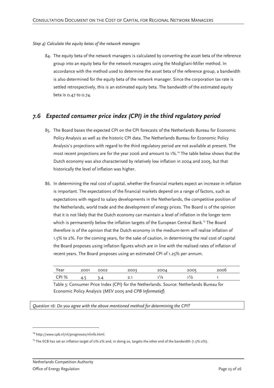#### *Step 4) Calculate the equity betas of the network managers*

84. The equity beta of the network managers is calculated by converting the asset beta of the reference group into an equity beta for the network managers using the Modigliani-Miller method. In accordance with the method used to determine the asset beta of the reference group, a bandwidth is also determined for the equity beta of the network manager. Since the corporation tax rate is settled retrospectively, this is an estimated equity beta. The bandwidth of the estimated equity beta is 0.47 to 0.74.

### *7.6 Expected consumer price index (CPI) in the third regulatory period*

- 85. The Board bases the expected CPI on the CPI forecasts of the Netherlands Bureau for Economic Policy Analysis as well as the historic CPI data. The Netherlands Bureau for Economic Policy Analysis's projections with regard to the third regulatory period are not available at present. The most recent projections are for the year 2006 and amount to 1%.<sup>14</sup> The table below shows that the Dutch economy was also characterised by relatively low inflation in 2004 and 2005, but that historically the level of inflation was higher.
- 86. In determining the real cost of capital, whether the financial markets expect an increase in inflation is important. The expectations of the financial markets depend on a range of factors, such as expectations with regard to salary developments in the Netherlands, the competitive position of the Netherlands, world trade and the development of energy prices. The Board is of the opinion that it is not likely that the Dutch economy can maintain a level of inflation in the longer term which is permanently below the inflation targets of the European Central Bank.<sup>15</sup> The Board therefore is of the opinion that the Dutch economy in the medium-term will realise inflation of 1.5% to 2%. For the coming years, for the sake of caution, in determining the real cost of capital the Board proposes using inflation figures which are in line with the realised rates of inflation of recent years. The Board proposes using an estimated CPI of 1.25% per annum.

| Year  | 2001 | 2002 | 200?      | 2004 | 2005 | ∠∪∪ວ |
|-------|------|------|-----------|------|------|------|
| CPI % |      | .    | <b>4.</b> | '/4  | י ו  |      |

Table 3: Consumer Price Index (CPI) for the Netherlands. Source: Netherlands Bureau for Economic Policy Analysis (*MEV* 2005 and *CPB Informatief*)

*Question 16: Do you agree with the above mentioned method for determining the CPI?* 

<sup>14</sup> http://www.cpb.nl/nl/prognoses/nlinfo.html.

<sup>&</sup>lt;sup>15</sup> The ECB has set an inflation target of 0%-2% and, in doing so, targets the other end of the bandwidth (1.5%-2%).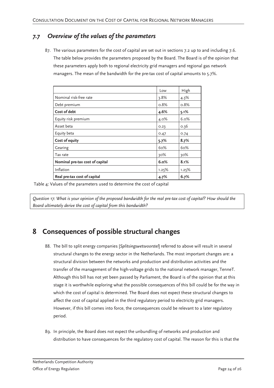## *7.7 Overview of the values of the parameters*

87. The various parameters for the cost of capital are set out in sections 7.2 up to and including 7.6. The table below provides the parameters proposed by the Board. The Board is of the opinion that these parameters apply both to regional electricity grid managers and regional gas network managers. The mean of the bandwidth for the pre-tax cost of capital amounts to 5.7%.

|                                 | Low     | High    |
|---------------------------------|---------|---------|
| Nominal risk-free rate          | $3.8\%$ | 4.3%    |
| Debt premium                    | 0.8%    | 0.8%    |
| Cost of debt                    | 4.6%    | 5.1%    |
| Equity risk premium             | 4.0%    | $6.0\%$ |
| Asset beta                      | 0.23    | 0.36    |
| Equity beta                     | 0.47    | 0.74    |
| Cost of equity                  | 5.7%    | 8.7%    |
| Gearing                         | 60%     | 60%     |
| Tax rate                        | 30%     | 30%     |
| Nominal pre-tax cost of capital | 6.0%    | 8.1%    |
| Inflation                       | 1.25%   | 1.25%   |
| Real pre-tax cost of capital    | 4.7%    | 6.7%    |

Table 4: Values of the parameters used to determine the cost of capital

*Question 17: What is your opinion of the proposed bandwidth for the real pre-tax cost of capital? How should the Board ultimately derive the cost of capital from this bandwidth?* 

## **8 Consequences of possible structural changes**

- 88. The bill to split energy companies [*Splitsingswetsvoorstel*] referred to above will result in several structural changes to the energy sector in the Netherlands. The most important changes are: a structural division between the networks and production and distribution activities and the transfer of the management of the high-voltage grids to the national network manager, TenneT. Although this bill has not yet been passed by Parliament, the Board is of the opinion that at this stage it is worthwhile exploring what the possible consequences of this bill could be for the way in which the cost of capital is determined. The Board does not expect these structural changes to affect the cost of capital applied in the third regulatory period to electricity grid managers. However, if this bill comes into force, the consequences could be relevant to a later regulatory period.
- 89. In principle, the Board does not expect the unbundling of networks and production and distribution to have consequences for the regulatory cost of capital. The reason for this is that the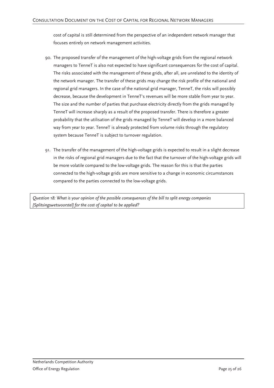cost of capital is still determined from the perspective of an independent network manager that focuses entirely on network management activities.

- 90. The proposed transfer of the management of the high-voltage grids from the regional network managers to TenneT is also not expected to have significant consequences for the cost of capital. The risks associated with the management of these grids, after all, are unrelated to the identity of the network manager. The transfer of these grids may change the risk profile of the national and regional grid managers. In the case of the national grid manager, TenneT, the risks will possibly decrease, because the development in TenneT's revenues will be more stable from year to year. The size and the number of parties that purchase electricity directly from the grids managed by TenneT will increase sharply as a result of the proposed transfer. There is therefore a greater probability that the utilisation of the grids managed by TenneT will develop in a more balanced way from year to year. TenneT is already protected from volume risks through the regulatory system because TenneT is subject to turnover regulation.
- 91. The transfer of the management of the high-voltage grids is expected to result in a slight decrease in the risks of regional grid managers due to the fact that the turnover of the high-voltage grids will be more volatile compared to the low-voltage grids. The reason for this is that the parties connected to the high-voltage grids are more sensitive to a change in economic circumstances compared to the parties connected to the low-voltage grids.

*Question 18: What is your opinion of the possible consequences of the bill to split energy companies [Splitsingswetsvoorstel] for the cost of capital to be applied?*